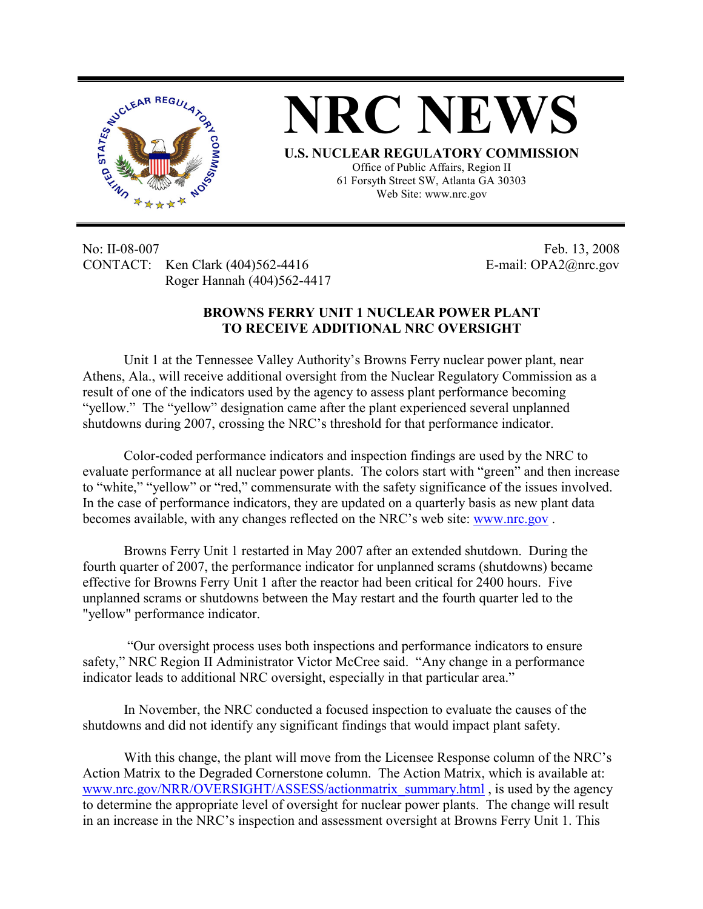

**NRC NEWS**

**U.S. NUCLEAR REGULATORY COMMISSION** Office of Public Affairs, Region II 61 Forsyth Street SW, Atlanta GA 30303

Web Site: www.nrc.gov

No: II-08-007 Feb. 13, 2008 CONTACT: Ken Clark (404)562-4416 E-mail: OPA2@nrc.gov Roger Hannah (404)562-4417

## **BROWNS FERRY UNIT 1 NUCLEAR POWER PLANT TO RECEIVE ADDITIONAL NRC OVERSIGHT**

Unit 1 at the Tennessee Valley Authority's Browns Ferry nuclear power plant, near Athens, Ala., will receive additional oversight from the Nuclear Regulatory Commission as a result of one of the indicators used by the agency to assess plant performance becoming "yellow." The "yellow" designation came after the plant experienced several unplanned shutdowns during 2007, crossing the NRC's threshold for that performance indicator.

Color-coded performance indicators and inspection findings are used by the NRC to evaluate performance at all nuclear power plants. The colors start with "green" and then increase to "white," "yellow" or "red," commensurate with the safety significance of the issues involved. In the case of performance indicators, they are updated on a quarterly basis as new plant data becomes available, with any changes reflected on the NRC's web site: www.nrc.gov .

Browns Ferry Unit 1 restarted in May 2007 after an extended shutdown. During the fourth quarter of 2007, the performance indicator for unplanned scrams (shutdowns) became effective for Browns Ferry Unit 1 after the reactor had been critical for 2400 hours. Five unplanned scrams or shutdowns between the May restart and the fourth quarter led to the "yellow" performance indicator.

 "Our oversight process uses both inspections and performance indicators to ensure safety," NRC Region II Administrator Victor McCree said. "Any change in a performance indicator leads to additional NRC oversight, especially in that particular area."

In November, the NRC conducted a focused inspection to evaluate the causes of the shutdowns and did not identify any significant findings that would impact plant safety.

With this change, the plant will move from the Licensee Response column of the NRC's Action Matrix to the Degraded Cornerstone column. The Action Matrix, which is available at: www.nrc.gov/NRR/OVERSIGHT/ASSESS/actionmatrix\_summary.html , is used by the agency to determine the appropriate level of oversight for nuclear power plants. The change will result in an increase in the NRC's inspection and assessment oversight at Browns Ferry Unit 1. This